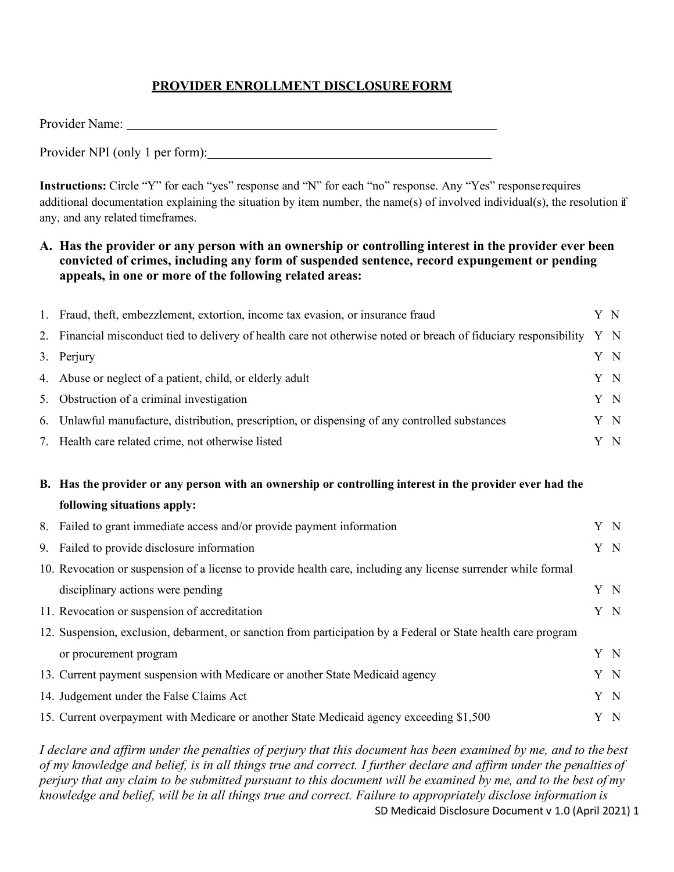## **PROVIDER ENROLLMENT DISCLOSUREFORM**

| Provider Name:                  |  |
|---------------------------------|--|
| Provider NPI (only 1 per form): |  |

**Instructions:** Circle "Y" for each "yes" response and "N" for each "no" response. Any "Yes" response requires additional documentation explaining the situation by item number, the name(s) of involved individual(s), the resolution if any, and any related timeframes.

## **A. Has the provider or any person with an ownership or controlling interest in the provider ever been convicted of crimes, including any form of suspended sentence, record expungement or pending appeals, in one or more of the following related areas:**

|    | 1. Fraud, theft, embezzlement, extortion, income tax evasion, or insurance fraud                               |  |     |
|----|----------------------------------------------------------------------------------------------------------------|--|-----|
| 2. | Financial misconduct tied to delivery of health care not otherwise noted or breach of fiduciary responsibility |  | Y N |
| 3. | Perjury                                                                                                        |  | Y N |
| 4. | Abuse or neglect of a patient, child, or elderly adult                                                         |  | Y N |
| 5. | Obstruction of a criminal investigation                                                                        |  | Y N |
| 6. | Unlawful manufacture, distribution, prescription, or dispensing of any controlled substances                   |  | Y N |
|    | 7. Health care related crime, not otherwise listed                                                             |  | Y N |
|    | B. Has the provider or any person with an ownership or controlling interest in the provider ever had the       |  |     |
|    | following situations apply:                                                                                    |  |     |
| 8. | Failed to grant immediate access and/or provide payment information                                            |  | Y N |
| 9. | Failed to provide disclosure information                                                                       |  | Y N |
|    | 10. Revocation or suspension of a license to provide health care, including any license surrender while formal |  |     |
|    | disciplinary actions were pending                                                                              |  | Y N |
|    | 11. Revocation or suspension of accreditation                                                                  |  | Y N |
|    | 12. Suspension, exclusion, debarment, or sanction from participation by a Federal or State health care program |  |     |
|    | or procurement program                                                                                         |  | Y N |
|    | 13. Current payment suspension with Medicare or another State Medicaid agency                                  |  | Y N |
|    | 14. Judgement under the False Claims Act                                                                       |  | Y N |
|    | 15. Current overpayment with Medicare or another State Medicaid agency exceeding \$1,500                       |  | Y N |

SD Medicaid Disclosure Document v 1.0 (April 2021) 1 *I declare and affirm under the penalties of perjury that this document has been examined by me, and to the best of my knowledge and belief, is in all things true and correct. I further declare and affirm under the penalties of perjury that any claim to be submitted pursuant to this document will be examined by me, and to the best of my knowledge and belief, will be in all things true and correct. Failure to appropriately disclose information is*